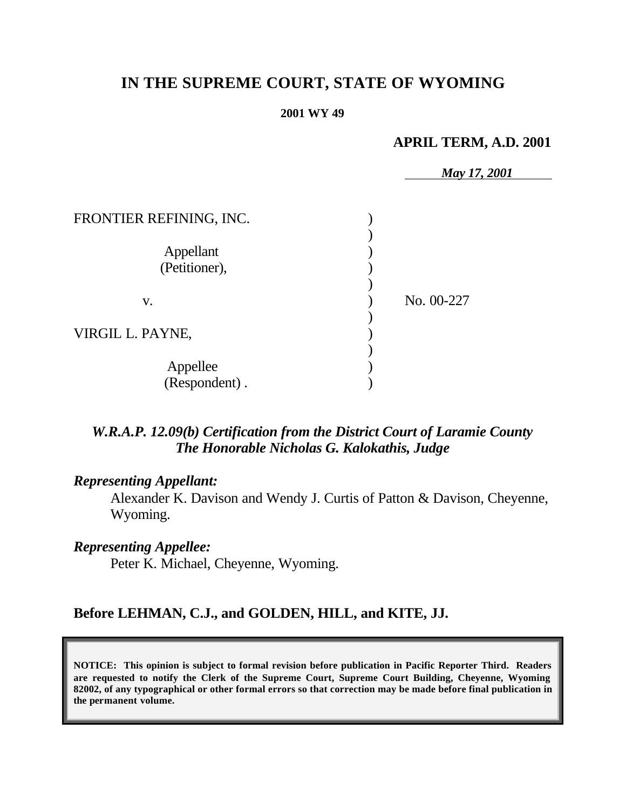# **IN THE SUPREME COURT, STATE OF WYOMING**

#### **2001 WY 49**

# **APRIL TERM, A.D. 2001**

|                           | May 17, 2001 |
|---------------------------|--------------|
| FRONTIER REFINING, INC.   |              |
| Appellant                 |              |
| (Petitioner),             |              |
| V.                        | No. 00-227   |
| VIRGIL L. PAYNE,          |              |
| Appellee<br>(Respondent). |              |

# *W.R.A.P. 12.09(b) Certification from the District Court of Laramie County The Honorable Nicholas G. Kalokathis, Judge*

# *Representing Appellant:*

Alexander K. Davison and Wendy J. Curtis of Patton & Davison, Cheyenne, Wyoming.

### *Representing Appellee:*

Peter K. Michael, Cheyenne, Wyoming.

### **Before LEHMAN, C.J., and GOLDEN, HILL, and KITE, JJ.**

**NOTICE: This opinion is subject to formal revision before publication in Pacific Reporter Third. Readers are requested to notify the Clerk of the Supreme Court, Supreme Court Building, Cheyenne, Wyoming 82002, of any typographical or other formal errors so that correction may be made before final publication in the permanent volume.**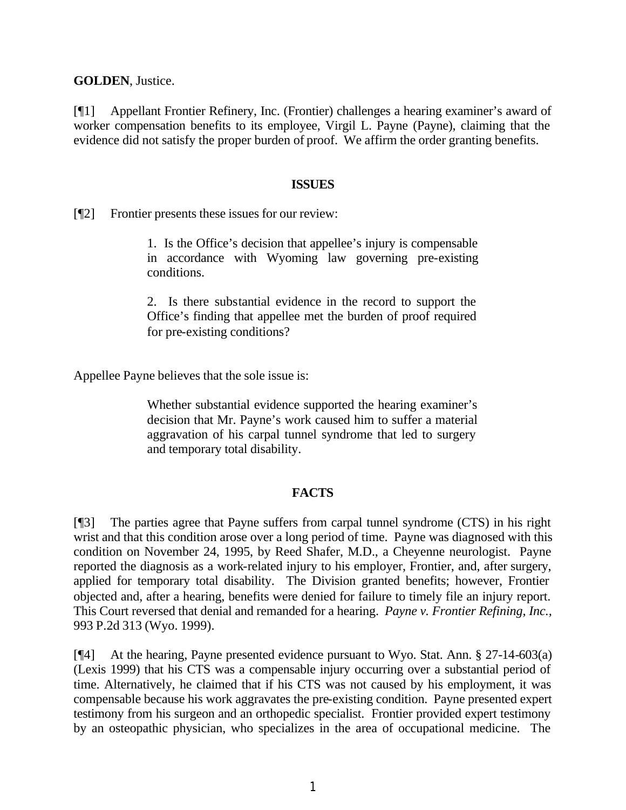**GOLDEN**, Justice.

[¶1] Appellant Frontier Refinery, Inc. (Frontier) challenges a hearing examiner's award of worker compensation benefits to its employee, Virgil L. Payne (Payne), claiming that the evidence did not satisfy the proper burden of proof. We affirm the order granting benefits.

### **ISSUES**

[¶2] Frontier presents these issues for our review:

1. Is the Office's decision that appellee's injury is compensable in accordance with Wyoming law governing pre-existing conditions.

2. Is there substantial evidence in the record to support the Office's finding that appellee met the burden of proof required for pre-existing conditions?

Appellee Payne believes that the sole issue is:

Whether substantial evidence supported the hearing examiner's decision that Mr. Payne's work caused him to suffer a material aggravation of his carpal tunnel syndrome that led to surgery and temporary total disability.

### **FACTS**

[¶3] The parties agree that Payne suffers from carpal tunnel syndrome (CTS) in his right wrist and that this condition arose over a long period of time. Payne was diagnosed with this condition on November 24, 1995, by Reed Shafer, M.D., a Cheyenne neurologist. Payne reported the diagnosis as a work-related injury to his employer, Frontier, and, after surgery, applied for temporary total disability. The Division granted benefits; however, Frontier objected and, after a hearing, benefits were denied for failure to timely file an injury report. This Court reversed that denial and remanded for a hearing. *Payne v. Frontier Refining, Inc.,* 993 P.2d 313 (Wyo. 1999).

[¶4] At the hearing, Payne presented evidence pursuant to Wyo. Stat. Ann. § 27-14-603(a) (Lexis 1999) that his CTS was a compensable injury occurring over a substantial period of time. Alternatively, he claimed that if his CTS was not caused by his employment, it was compensable because his work aggravates the pre-existing condition. Payne presented expert testimony from his surgeon and an orthopedic specialist. Frontier provided expert testimony by an osteopathic physician, who specializes in the area of occupational medicine. The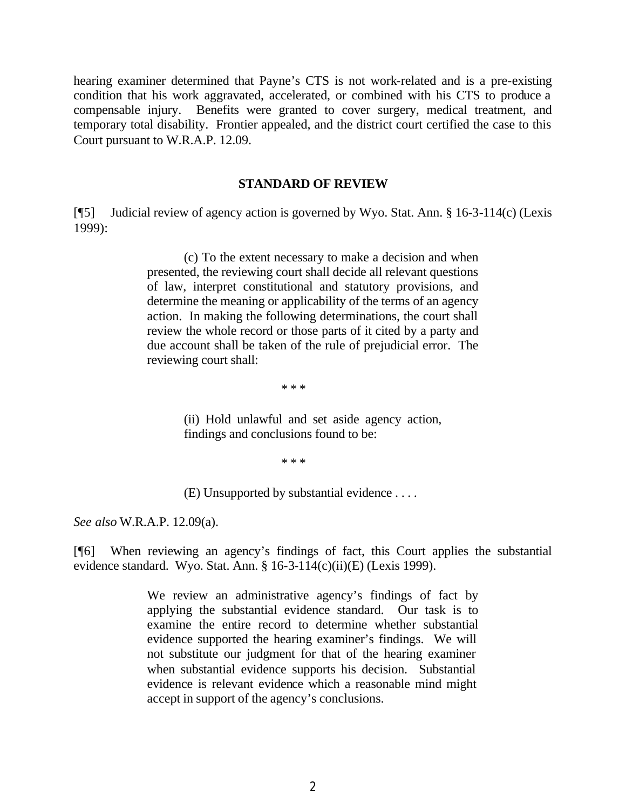hearing examiner determined that Payne's CTS is not work-related and is a pre-existing condition that his work aggravated, accelerated, or combined with his CTS to produce a compensable injury. Benefits were granted to cover surgery, medical treatment, and temporary total disability. Frontier appealed, and the district court certified the case to this Court pursuant to W.R.A.P. 12.09.

#### **STANDARD OF REVIEW**

[¶5] Judicial review of agency action is governed by Wyo. Stat. Ann. § 16-3-114(c) (Lexis 1999):

> (c) To the extent necessary to make a decision and when presented, the reviewing court shall decide all relevant questions of law, interpret constitutional and statutory provisions, and determine the meaning or applicability of the terms of an agency action. In making the following determinations, the court shall review the whole record or those parts of it cited by a party and due account shall be taken of the rule of prejudicial error. The reviewing court shall:

> > \* \* \*

(ii) Hold unlawful and set aside agency action, findings and conclusions found to be:

\* \* \*

(E) Unsupported by substantial evidence . . . .

*See also* W.R.A.P. 12.09(a).

[¶6] When reviewing an agency's findings of fact, this Court applies the substantial evidence standard. Wyo. Stat. Ann. § 16-3-114(c)(ii)(E) (Lexis 1999).

> We review an administrative agency's findings of fact by applying the substantial evidence standard. Our task is to examine the entire record to determine whether substantial evidence supported the hearing examiner's findings. We will not substitute our judgment for that of the hearing examiner when substantial evidence supports his decision. Substantial evidence is relevant evidence which a reasonable mind might accept in support of the agency's conclusions.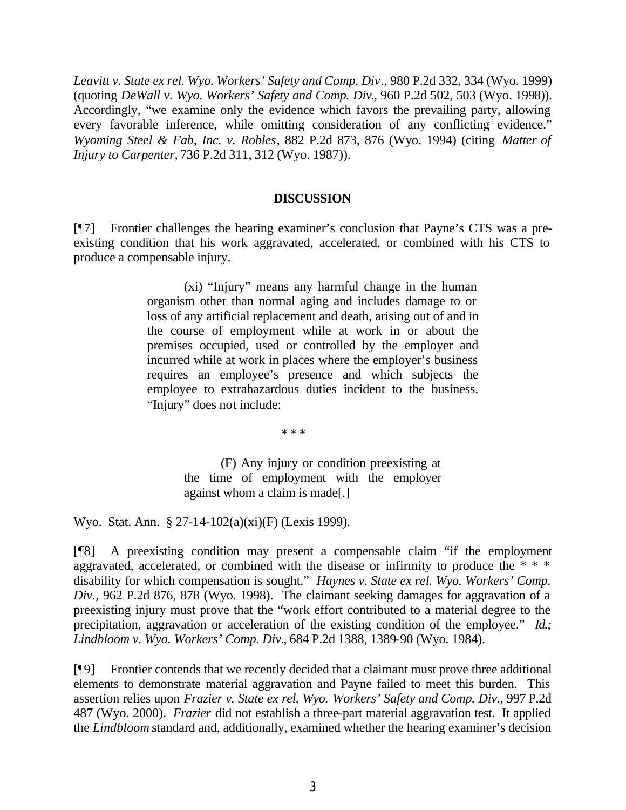*Leavitt v. State ex rel. Wyo. Workers' Safety and Comp. Div*., 980 P.2d 332, 334 (Wyo. 1999) (quoting *DeWall v. Wyo. Workers' Safety and Comp. Div.*, 960 P.2d 502, 503 (Wyo. 1998)). Accordingly, "we examine only the evidence which favors the prevailing party, allowing every favorable inference, while omitting consideration of any conflicting evidence." *Wyoming Steel & Fab, Inc. v. Robles*, 882 P.2d 873, 876 (Wyo. 1994) (citing *Matter of Injury to Carpenter,* 736 P.2d 311, 312 (Wyo. 1987)).

### **DISCUSSION**

[¶7] Frontier challenges the hearing examiner's conclusion that Payne's CTS was a preexisting condition that his work aggravated, accelerated, or combined with his CTS to produce a compensable injury.

> (xi) "Injury" means any harmful change in the human organism other than normal aging and includes damage to or loss of any artificial replacement and death, arising out of and in the course of employment while at work in or about the premises occupied, used or controlled by the employer and incurred while at work in places where the employer's business requires an employee's presence and which subjects the employee to extrahazardous duties incident to the business. "Injury" does not include:

> > \* \* \*

(F) Any injury or condition preexisting at the time of employment with the employer against whom a claim is made[.]

Wyo. Stat. Ann. § 27-14-102(a)(xi)(F) (Lexis 1999).

[¶8] A preexisting condition may present a compensable claim "if the employment aggravated, accelerated, or combined with the disease or infirmity to produce the  $* * *$ disability for which compensation is sought." *Haynes v. State ex rel. Wyo. Workers' Comp. Div.,* 962 P.2d 876, 878 (Wyo. 1998). The claimant seeking damages for aggravation of a preexisting injury must prove that the "work effort contributed to a material degree to the precipitation, aggravation or acceleration of the existing condition of the employee." *Id.; Lindbloom v. Wyo. Workers' Comp. Div.*, 684 P.2d 1388, 1389-90 (Wyo. 1984).

[¶9] Frontier contends that we recently decided that a claimant must prove three additional elements to demonstrate material aggravation and Payne failed to meet this burden. This assertion relies upon *Frazier v. State ex rel. Wyo. Workers' Safety and Comp. Div.,* 997 P.2d 487 (Wyo. 2000). *Frazier* did not establish a three-part material aggravation test. It applied the *Lindbloom* standard and, additionally, examined whether the hearing examiner's decision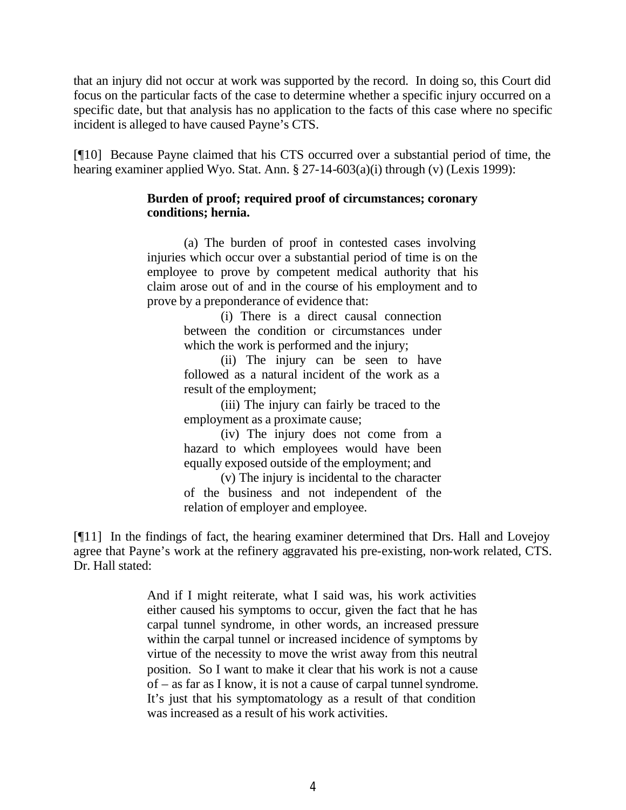that an injury did not occur at work was supported by the record. In doing so, this Court did focus on the particular facts of the case to determine whether a specific injury occurred on a specific date, but that analysis has no application to the facts of this case where no specific incident is alleged to have caused Payne's CTS.

[¶10] Because Payne claimed that his CTS occurred over a substantial period of time, the hearing examiner applied Wyo. Stat. Ann. § 27-14-603(a)(i) through (v) (Lexis 1999):

### **Burden of proof; required proof of circumstances; coronary conditions; hernia.**

(a) The burden of proof in contested cases involving injuries which occur over a substantial period of time is on the employee to prove by competent medical authority that his claim arose out of and in the course of his employment and to prove by a preponderance of evidence that:

> (i) There is a direct causal connection between the condition or circumstances under which the work is performed and the injury;

> (ii) The injury can be seen to have followed as a natural incident of the work as a result of the employment;

> (iii) The injury can fairly be traced to the employment as a proximate cause;

> (iv) The injury does not come from a hazard to which employees would have been equally exposed outside of the employment; and

> (v) The injury is incidental to the character of the business and not independent of the relation of employer and employee.

[¶11] In the findings of fact, the hearing examiner determined that Drs. Hall and Lovejoy agree that Payne's work at the refinery aggravated his pre-existing, non-work related, CTS. Dr. Hall stated:

> And if I might reiterate, what I said was, his work activities either caused his symptoms to occur, given the fact that he has carpal tunnel syndrome, in other words, an increased pressure within the carpal tunnel or increased incidence of symptoms by virtue of the necessity to move the wrist away from this neutral position. So I want to make it clear that his work is not a cause of – as far as I know, it is not a cause of carpal tunnel syndrome. It's just that his symptomatology as a result of that condition was increased as a result of his work activities.